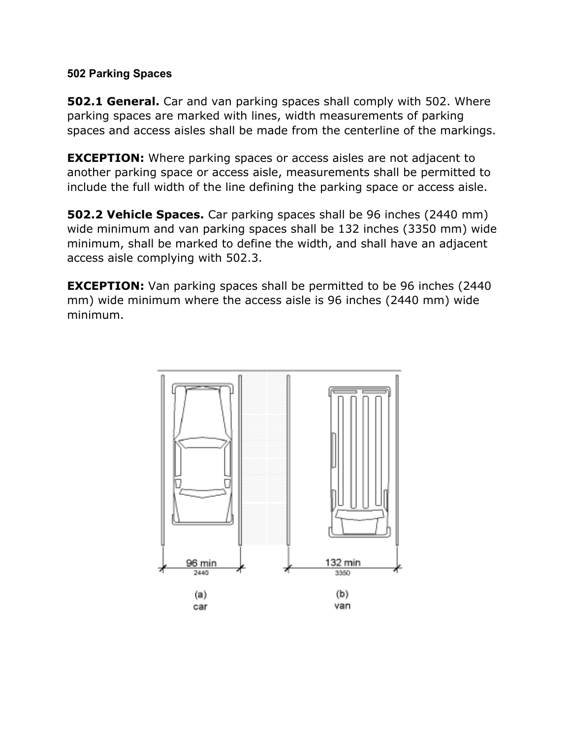## **502 Parking Spaces**

**502.1 General.** Car and van parking spaces shall comply with 502. Where parking spaces are marked with lines, width measurements of parking spaces and access aisles shall be made from the centerline of the markings.

**EXCEPTION:** Where parking spaces or access aisles are not adjacent to another parking space or access aisle, measurements shall be permitted to include the full width of the line defining the parking space or access aisle.

**502.2 Vehicle Spaces.** Car parking spaces shall be 96 inches (2440 mm) wide minimum and van parking spaces shall be 132 inches (3350 mm) wide minimum, shall be marked to define the width, and shall have an adjacent access aisle complying with 502.3.

**EXCEPTION:** Van parking spaces shall be permitted to be 96 inches (2440) mm) wide minimum where the access aisle is 96 inches (2440 mm) wide minimum.

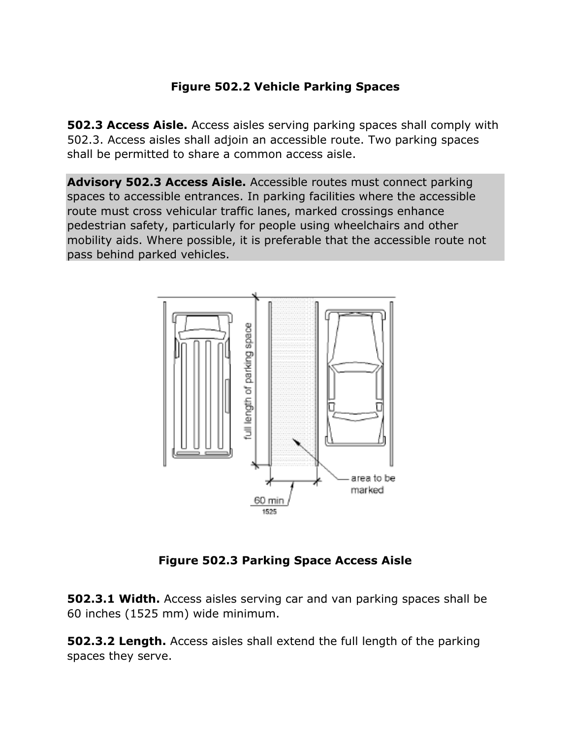## **Figure 502.2 Vehicle Parking Spaces**

**502.3 Access Aisle.** Access aisles serving parking spaces shall comply with 502.3. Access aisles shall adjoin an accessible route. Two parking spaces shall be permitted to share a common access aisle.

**Advisory 502.3 Access Aisle.** Accessible routes must connect parking spaces to accessible entrances. In parking facilities where the accessible route must cross vehicular traffic lanes, marked crossings enhance pedestrian safety, particularly for people using wheelchairs and other mobility aids. Where possible, it is preferable that the accessible route not pass behind parked vehicles.



**Figure 502.3 Parking Space Access Aisle**

**502.3.1 Width.** Access aisles serving car and van parking spaces shall be 60 inches (1525 mm) wide minimum.

**502.3.2 Length.** Access aisles shall extend the full length of the parking spaces they serve.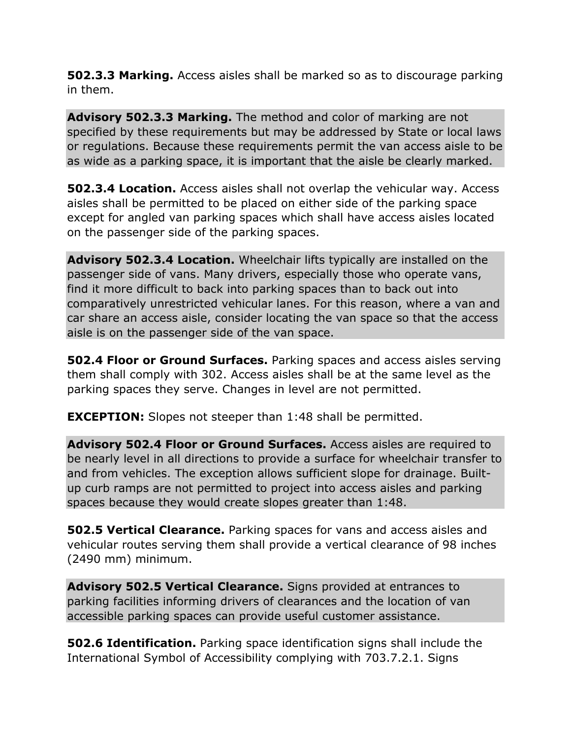**502.3.3 Marking.** Access aisles shall be marked so as to discourage parking in them.

**Advisory 502.3.3 Marking.** The method and color of marking are not specified by these requirements but may be addressed by State or local laws or regulations. Because these requirements permit the van access aisle to be as wide as a parking space, it is important that the aisle be clearly marked.

**502.3.4 Location.** Access aisles shall not overlap the vehicular way. Access aisles shall be permitted to be placed on either side of the parking space except for angled van parking spaces which shall have access aisles located on the passenger side of the parking spaces.

**Advisory 502.3.4 Location.** Wheelchair lifts typically are installed on the passenger side of vans. Many drivers, especially those who operate vans, find it more difficult to back into parking spaces than to back out into comparatively unrestricted vehicular lanes. For this reason, where a van and car share an access aisle, consider locating the van space so that the access aisle is on the passenger side of the van space.

**502.4 Floor or Ground Surfaces.** Parking spaces and access aisles serving them shall comply with 302. Access aisles shall be at the same level as the parking spaces they serve. Changes in level are not permitted.

**EXCEPTION:** Slopes not steeper than 1:48 shall be permitted.

**Advisory 502.4 Floor or Ground Surfaces.** Access aisles are required to be nearly level in all directions to provide a surface for wheelchair transfer to and from vehicles. The exception allows sufficient slope for drainage. Builtup curb ramps are not permitted to project into access aisles and parking spaces because they would create slopes greater than 1:48.

**502.5 Vertical Clearance.** Parking spaces for vans and access aisles and vehicular routes serving them shall provide a vertical clearance of 98 inches (2490 mm) minimum.

**Advisory 502.5 Vertical Clearance.** Signs provided at entrances to parking facilities informing drivers of clearances and the location of van accessible parking spaces can provide useful customer assistance.

**502.6 Identification.** Parking space identification signs shall include the International Symbol of Accessibility complying with 703.7.2.1. Signs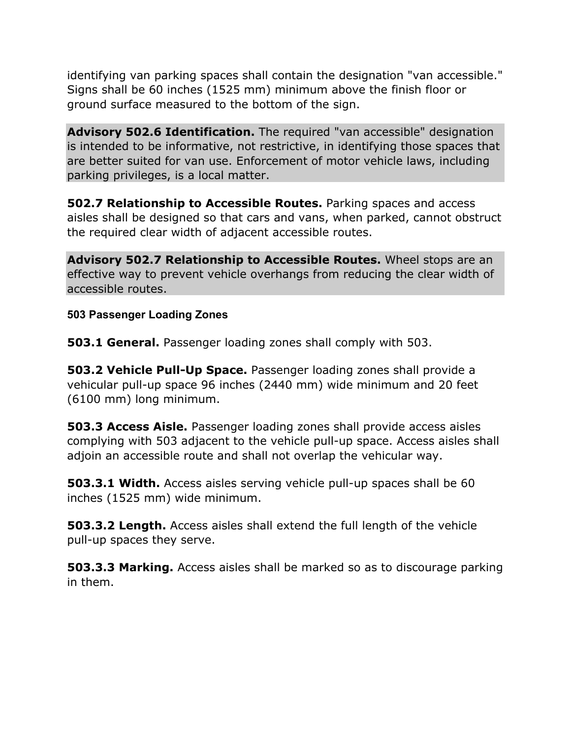identifying van parking spaces shall contain the designation "van accessible." Signs shall be 60 inches (1525 mm) minimum above the finish floor or ground surface measured to the bottom of the sign.

**Advisory 502.6 Identification.** The required "van accessible" designation is intended to be informative, not restrictive, in identifying those spaces that are better suited for van use. Enforcement of motor vehicle laws, including parking privileges, is a local matter.

**502.7 Relationship to Accessible Routes.** Parking spaces and access aisles shall be designed so that cars and vans, when parked, cannot obstruct the required clear width of adjacent accessible routes.

**Advisory 502.7 Relationship to Accessible Routes.** Wheel stops are an effective way to prevent vehicle overhangs from reducing the clear width of accessible routes.

**503 Passenger Loading Zones**

**503.1 General.** Passenger loading zones shall comply with 503.

**503.2 Vehicle Pull-Up Space.** Passenger loading zones shall provide a vehicular pull-up space 96 inches (2440 mm) wide minimum and 20 feet (6100 mm) long minimum.

**503.3 Access Aisle.** Passenger loading zones shall provide access aisles complying with 503 adjacent to the vehicle pull-up space. Access aisles shall adjoin an accessible route and shall not overlap the vehicular way.

**503.3.1 Width.** Access aisles serving vehicle pull-up spaces shall be 60 inches (1525 mm) wide minimum.

**503.3.2 Length.** Access aisles shall extend the full length of the vehicle pull-up spaces they serve.

**503.3.3 Marking.** Access aisles shall be marked so as to discourage parking in them.